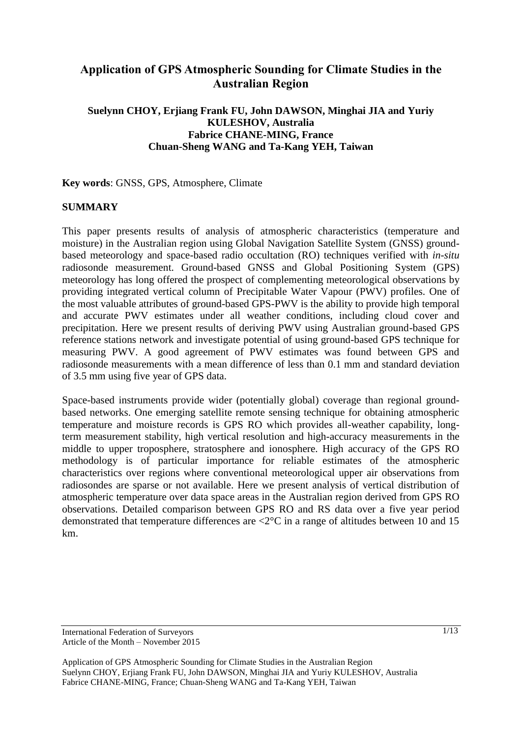# **Application of GPS Atmospheric Sounding for Climate Studies in the Australian Region**

## **Suelynn CHOY, Erjiang Frank FU, John DAWSON, Minghai JIA and Yuriy KULESHOV, Australia Fabrice CHANE-MING, France Chuan-Sheng WANG and Ta-Kang YEH, Taiwan**

**Key words**: GNSS, GPS, Atmosphere, Climate

#### **SUMMARY**

This paper presents results of analysis of atmospheric characteristics (temperature and moisture) in the Australian region using Global Navigation Satellite System (GNSS) groundbased meteorology and space-based radio occultation (RO) techniques verified with *in-situ* radiosonde measurement. Ground-based GNSS and Global Positioning System (GPS) meteorology has long offered the prospect of complementing meteorological observations by providing integrated vertical column of Precipitable Water Vapour (PWV) profiles. One of the most valuable attributes of ground-based GPS-PWV is the ability to provide high temporal and accurate PWV estimates under all weather conditions, including cloud cover and precipitation. Here we present results of deriving PWV using Australian ground-based GPS reference stations network and investigate potential of using ground-based GPS technique for measuring PWV. A good agreement of PWV estimates was found between GPS and radiosonde measurements with a mean difference of less than 0.1 mm and standard deviation of 3.5 mm using five year of GPS data.

Space-based instruments provide wider (potentially global) coverage than regional groundbased networks. One emerging satellite remote sensing technique for obtaining atmospheric temperature and moisture records is GPS RO which provides all-weather capability, longterm measurement stability, high vertical resolution and high-accuracy measurements in the middle to upper troposphere, stratosphere and ionosphere. High accuracy of the GPS RO methodology is of particular importance for reliable estimates of the atmospheric characteristics over regions where conventional meteorological upper air observations from radiosondes are sparse or not available. Here we present analysis of vertical distribution of atmospheric temperature over data space areas in the Australian region derived from GPS RO observations. Detailed comparison between GPS RO and RS data over a five year period demonstrated that temperature differences are <2°C in a range of altitudes between 10 and 15 km.

International Federation of Surveyors Article of the Month – November 2015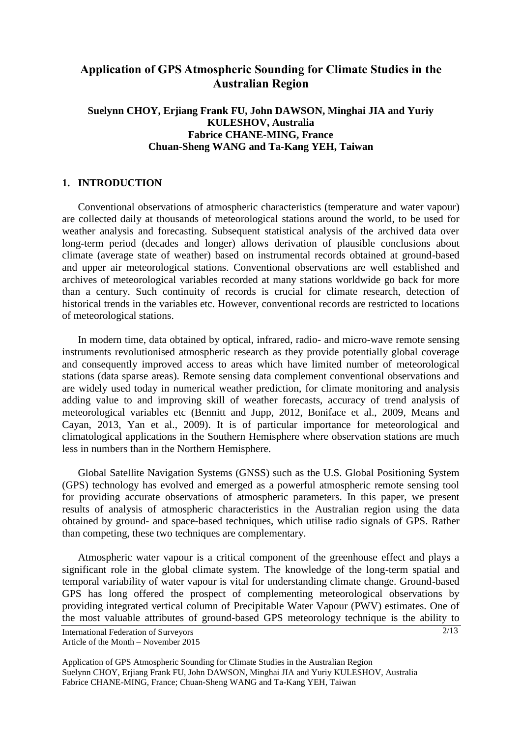# **Application of GPS Atmospheric Sounding for Climate Studies in the Australian Region**

## **Suelynn CHOY, Erjiang Frank FU, John DAWSON, Minghai JIA and Yuriy KULESHOV, Australia Fabrice CHANE-MING, France Chuan-Sheng WANG and Ta-Kang YEH, Taiwan**

#### **1. INTRODUCTION**

Conventional observations of atmospheric characteristics (temperature and water vapour) are collected daily at thousands of meteorological stations around the world, to be used for weather analysis and forecasting. Subsequent statistical analysis of the archived data over long-term period (decades and longer) allows derivation of plausible conclusions about climate (average state of weather) based on instrumental records obtained at ground-based and upper air meteorological stations. Conventional observations are well established and archives of meteorological variables recorded at many stations worldwide go back for more than a century. Such continuity of records is crucial for climate research, detection of historical trends in the variables etc. However, conventional records are restricted to locations of meteorological stations.

In modern time, data obtained by optical, infrared, radio- and micro-wave remote sensing instruments revolutionised atmospheric research as they provide potentially global coverage and consequently improved access to areas which have limited number of meteorological stations (data sparse areas). Remote sensing data complement conventional observations and are widely used today in numerical weather prediction, for climate monitoring and analysis adding value to and improving skill of weather forecasts, accuracy of trend analysis of meteorological variables etc (Bennitt and Jupp, 2012, Boniface et al., 2009, Means and Cayan, 2013, Yan et al., 2009). It is of particular importance for meteorological and climatological applications in the Southern Hemisphere where observation stations are much less in numbers than in the Northern Hemisphere.

Global Satellite Navigation Systems (GNSS) such as the U.S. Global Positioning System (GPS) technology has evolved and emerged as a powerful atmospheric remote sensing tool for providing accurate observations of atmospheric parameters. In this paper, we present results of analysis of atmospheric characteristics in the Australian region using the data obtained by ground- and space-based techniques, which utilise radio signals of GPS. Rather than competing, these two techniques are complementary.

Atmospheric water vapour is a critical component of the greenhouse effect and plays a significant role in the global climate system. The knowledge of the long-term spatial and temporal variability of water vapour is vital for understanding climate change. Ground-based GPS has long offered the prospect of complementing meteorological observations by providing integrated vertical column of Precipitable Water Vapour (PWV) estimates. One of the most valuable attributes of ground-based GPS meteorology technique is the ability to

International Federation of Surveyors Article of the Month – November 2015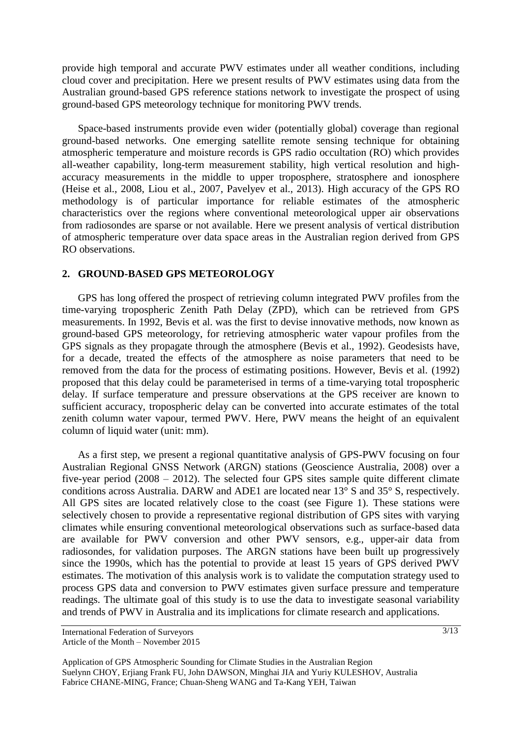provide high temporal and accurate PWV estimates under all weather conditions, including cloud cover and precipitation. Here we present results of PWV estimates using data from the Australian ground-based GPS reference stations network to investigate the prospect of using ground-based GPS meteorology technique for monitoring PWV trends.

Space-based instruments provide even wider (potentially global) coverage than regional ground-based networks. One emerging satellite remote sensing technique for obtaining atmospheric temperature and moisture records is GPS radio occultation (RO) which provides all-weather capability, long-term measurement stability, high vertical resolution and highaccuracy measurements in the middle to upper troposphere, stratosphere and ionosphere (Heise et al., 2008, Liou et al., 2007, Pavelyev et al., 2013). High accuracy of the GPS RO methodology is of particular importance for reliable estimates of the atmospheric characteristics over the regions where conventional meteorological upper air observations from radiosondes are sparse or not available. Here we present analysis of vertical distribution of atmospheric temperature over data space areas in the Australian region derived from GPS RO observations.

#### **2. GROUND-BASED GPS METEOROLOGY**

GPS has long offered the prospect of retrieving column integrated PWV profiles from the time-varying tropospheric Zenith Path Delay (ZPD), which can be retrieved from GPS measurements. In 1992, Bevis et al. was the first to devise innovative methods, now known as ground-based GPS meteorology, for retrieving atmospheric water vapour profiles from the GPS signals as they propagate through the atmosphere (Bevis et al., 1992). Geodesists have, for a decade, treated the effects of the atmosphere as noise parameters that need to be removed from the data for the process of estimating positions. However, Bevis et al. (1992) proposed that this delay could be parameterised in terms of a time-varying total tropospheric delay. If surface temperature and pressure observations at the GPS receiver are known to sufficient accuracy, tropospheric delay can be converted into accurate estimates of the total zenith column water vapour, termed PWV. Here, PWV means the height of an equivalent column of liquid water (unit: mm).

As a first step, we present a regional quantitative analysis of GPS-PWV focusing on four Australian Regional GNSS Network (ARGN) stations (Geoscience Australia, 2008) over a five-year period (2008 – 2012). The selected four GPS sites sample quite different climate conditions across Australia. DARW and ADE1 are located near 13° S and 35° S, respectively. All GPS sites are located relatively close to the coast (see Figure 1). These stations were selectively chosen to provide a representative regional distribution of GPS sites with varying climates while ensuring conventional meteorological observations such as surface-based data are available for PWV conversion and other PWV sensors, e.g., upper-air data from radiosondes, for validation purposes. The ARGN stations have been built up progressively since the 1990s, which has the potential to provide at least 15 years of GPS derived PWV estimates. The motivation of this analysis work is to validate the computation strategy used to process GPS data and conversion to PWV estimates given surface pressure and temperature readings. The ultimate goal of this study is to use the data to investigate seasonal variability and trends of PWV in Australia and its implications for climate research and applications.

International Federation of Surveyors Article of the Month – November 2015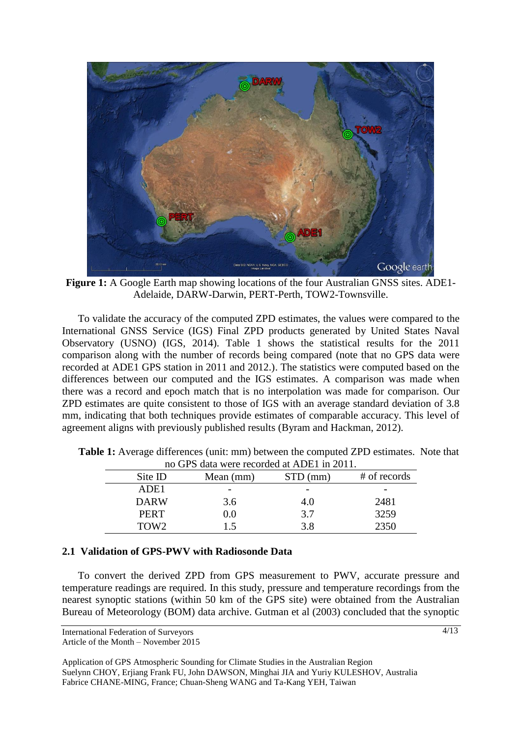

**Figure 1:** A Google Earth map showing locations of the four Australian GNSS sites. ADE1- Adelaide, DARW-Darwin, PERT-Perth, TOW2-Townsville.

To validate the accuracy of the computed ZPD estimates, the values were compared to the International GNSS Service (IGS) Final ZPD products generated by United States Naval Observatory (USNO) (IGS, 2014). Table 1 shows the statistical results for the 2011 comparison along with the number of records being compared (note that no GPS data were recorded at ADE1 GPS station in 2011 and 2012.). The statistics were computed based on the differences between our computed and the IGS estimates. A comparison was made when there was a record and epoch match that is no interpolation was made for comparison. Our ZPD estimates are quite consistent to those of IGS with an average standard deviation of 3.8 mm, indicating that both techniques provide estimates of comparable accuracy. This level of agreement aligns with previously published results (Byram and Hackman, 2012).

| 110 UI S uala wele leculueu al ADET III 2011. |                          |            |              |  |
|-----------------------------------------------|--------------------------|------------|--------------|--|
| Site ID                                       | Mean (mm)                | $STD$ (mm) | # of records |  |
| ADE1                                          | $\overline{\phantom{0}}$ |            | -            |  |
| <b>DARW</b>                                   | 3.6                      | 4.0        | 2481         |  |
| <b>PERT</b>                                   | $0.0\,$                  | 3.7        | 3259         |  |
| TOW <sub>2</sub>                              | 15                       | 3.8        | 2350         |  |

**Table 1:** Average differences (unit: mm) between the computed ZPD estimates. Note that no GPS data were recorded at ADE1 in 2011.

#### **2.1 Validation of GPS-PWV with Radiosonde Data**

To convert the derived ZPD from GPS measurement to PWV, accurate pressure and temperature readings are required. In this study, pressure and temperature recordings from the nearest synoptic stations (within 50 km of the GPS site) were obtained from the Australian Bureau of Meteorology (BOM) data archive. Gutman et al (2003) concluded that the synoptic

International Federation of Surveyors

Article of the Month – November 2015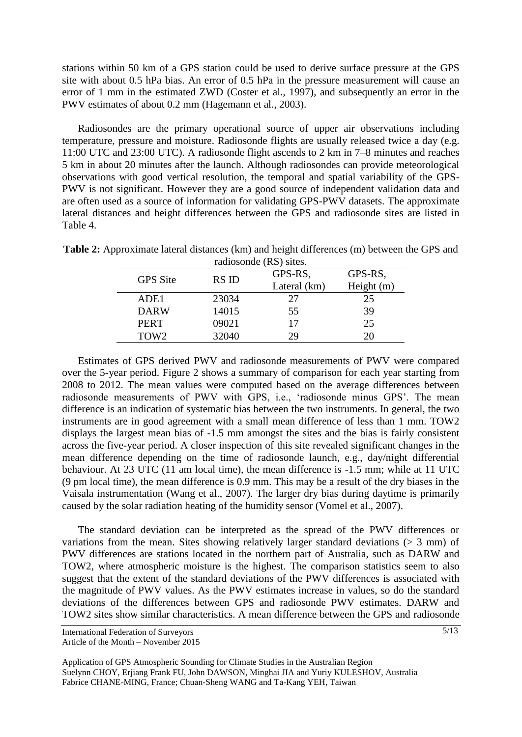stations within 50 km of a GPS station could be used to derive surface pressure at the GPS site with about 0.5 hPa bias. An error of 0.5 hPa in the pressure measurement will cause an error of 1 mm in the estimated ZWD (Coster et al., 1997), and subsequently an error in the PWV estimates of about 0.2 mm (Hagemann et al., 2003).

Radiosondes are the primary operational source of upper air observations including temperature, pressure and moisture. Radiosonde flights are usually released twice a day (e.g. 11:00 UTC and 23:00 UTC). A radiosonde flight ascends to 2 km in 7–8 minutes and reaches 5 km in about 20 minutes after the launch. Although radiosondes can provide meteorological observations with good vertical resolution, the temporal and spatial variability of the GPS-PWV is not significant. However they are a good source of independent validation data and are often used as a source of information for validating GPS-PWV datasets. The approximate lateral distances and height differences between the GPS and radiosonde sites are listed in Table 4.

| Taurosonue (NS) sites. |              |              |  |  |  |
|------------------------|--------------|--------------|--|--|--|
| RS ID                  | GPS-RS,      | GPS-RS,      |  |  |  |
|                        | Lateral (km) | Height $(m)$ |  |  |  |
| 23034                  | 27           | 25           |  |  |  |
| 14015                  | 55           | 39           |  |  |  |
| 09021                  | 17           | 25           |  |  |  |
| 32040                  | 29           | 20           |  |  |  |
|                        |              |              |  |  |  |

**Table 2:** Approximate lateral distances (km) and height differences (m) between the GPS and radiosonde (RS) sites.

Estimates of GPS derived PWV and radiosonde measurements of PWV were compared over the 5-year period. Figure 2 shows a summary of comparison for each year starting from 2008 to 2012. The mean values were computed based on the average differences between radiosonde measurements of PWV with GPS, i.e., 'radiosonde minus GPS'. The mean difference is an indication of systematic bias between the two instruments. In general, the two instruments are in good agreement with a small mean difference of less than 1 mm. TOW2 displays the largest mean bias of -1.5 mm amongst the sites and the bias is fairly consistent across the five-year period. A closer inspection of this site revealed significant changes in the mean difference depending on the time of radiosonde launch, e.g., day/night differential behaviour. At 23 UTC (11 am local time), the mean difference is -1.5 mm; while at 11 UTC (9 pm local time), the mean difference is 0.9 mm. This may be a result of the dry biases in the Vaisala instrumentation (Wang et al., 2007). The larger dry bias during daytime is primarily caused by the solar radiation heating of the humidity sensor (Vomel et al., 2007).

The standard deviation can be interpreted as the spread of the PWV differences or variations from the mean. Sites showing relatively larger standard deviations ( $> 3$  mm) of PWV differences are stations located in the northern part of Australia, such as DARW and TOW2, where atmospheric moisture is the highest. The comparison statistics seem to also suggest that the extent of the standard deviations of the PWV differences is associated with the magnitude of PWV values. As the PWV estimates increase in values, so do the standard deviations of the differences between GPS and radiosonde PWV estimates. DARW and TOW2 sites show similar characteristics. A mean difference between the GPS and radiosonde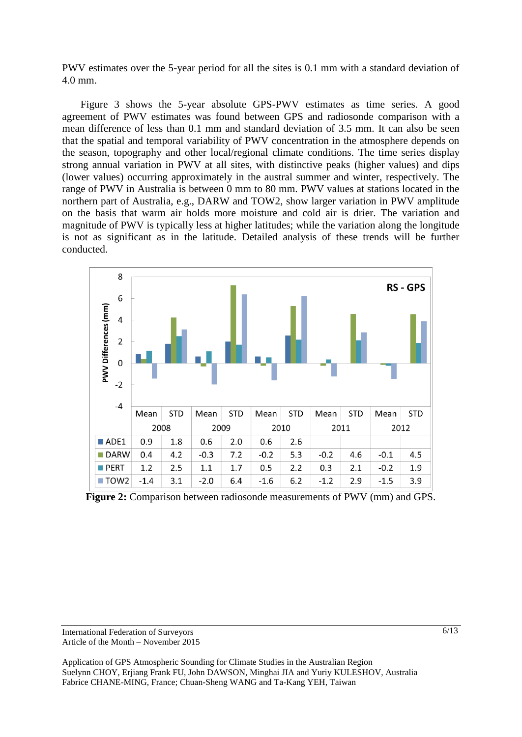PWV estimates over the 5-year period for all the sites is 0.1 mm with a standard deviation of 4.0 mm.

Figure 3 shows the 5-year absolute GPS-PWV estimates as time series. A good agreement of PWV estimates was found between GPS and radiosonde comparison with a mean difference of less than 0.1 mm and standard deviation of 3.5 mm. It can also be seen that the spatial and temporal variability of PWV concentration in the atmosphere depends on the season, topography and other local/regional climate conditions. The time series display strong annual variation in PWV at all sites, with distinctive peaks (higher values) and dips (lower values) occurring approximately in the austral summer and winter, respectively. The range of PWV in Australia is between 0 mm to 80 mm. PWV values at stations located in the northern part of Australia, e.g., DARW and TOW2, show larger variation in PWV amplitude on the basis that warm air holds more moisture and cold air is drier. The variation and magnitude of PWV is typically less at higher latitudes; while the variation along the longitude is not as significant as in the latitude. Detailed analysis of these trends will be further conducted.



**Figure 2:** Comparison between radiosonde measurements of PWV (mm) and GPS.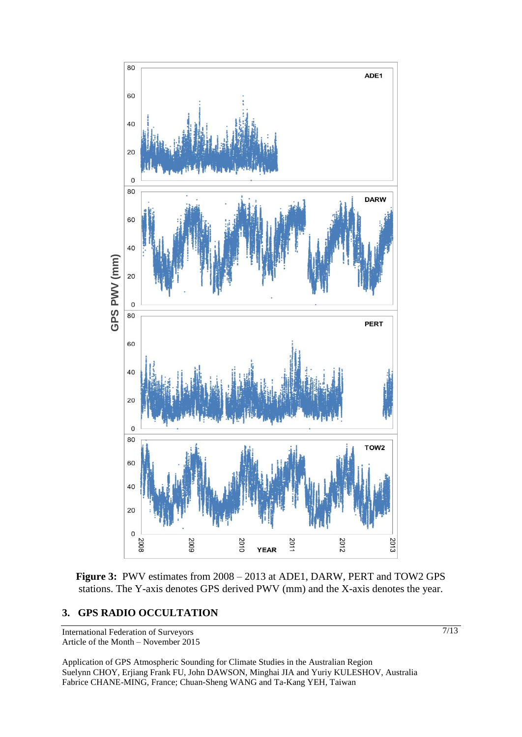

**Figure 3:** PWV estimates from 2008 – 2013 at ADE1, DARW, PERT and TOW2 GPS stations. The Y-axis denotes GPS derived PWV (mm) and the X-axis denotes the year.

International Federation of Surveyors Article of the Month – November 2015

Application of GPS Atmospheric Sounding for Climate Studies in the Australian Region Suelynn CHOY, Erjiang Frank FU, John DAWSON, Minghai JIA and Yuriy KULESHOV, Australia Fabrice CHANE-MING, France; Chuan-Sheng WANG and Ta-Kang YEH, Taiwan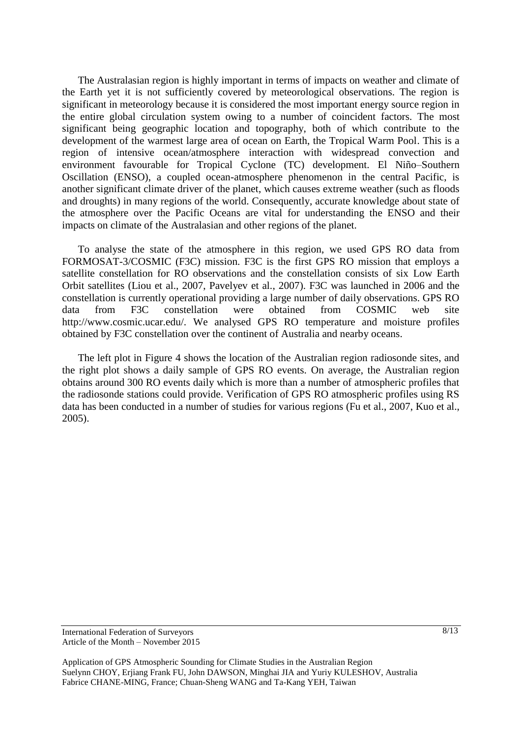The Australasian region is highly important in terms of impacts on weather and climate of the Earth yet it is not sufficiently covered by meteorological observations. The region is significant in meteorology because it is considered the most important energy source region in the entire global circulation system owing to a number of coincident factors. The most significant being geographic location and topography, both of which contribute to the development of the warmest large area of ocean on Earth, the Tropical Warm Pool. This is a region of intensive ocean/atmosphere interaction with widespread convection and environment favourable for Tropical Cyclone (TC) development. El Niño–Southern Oscillation (ENSO), a coupled ocean-atmosphere phenomenon in the central Pacific, is another significant climate driver of the planet, which causes extreme weather (such as floods and droughts) in many regions of the world. Consequently, accurate knowledge about state of the atmosphere over the Pacific Oceans are vital for understanding the ENSO and their impacts on climate of the Australasian and other regions of the planet.

To analyse the state of the atmosphere in this region, we used GPS RO data from FORMOSAT-3/COSMIC (F3C) mission. F3C is the first GPS RO mission that employs a satellite constellation for RO observations and the constellation consists of six Low Earth Orbit satellites (Liou et al., 2007, Pavelyev et al., 2007). F3C was launched in 2006 and the constellation is currently operational providing a large number of daily observations. GPS RO data from F3C constellation were obtained from COSMIC web site http://www.cosmic.ucar.edu/. We analysed GPS RO temperature and moisture profiles obtained by F3C constellation over the continent of Australia and nearby oceans.

The left plot in Figure 4 shows the location of the Australian region radiosonde sites, and the right plot shows a daily sample of GPS RO events. On average, the Australian region obtains around 300 RO events daily which is more than a number of atmospheric profiles that the radiosonde stations could provide. Verification of GPS RO atmospheric profiles using RS data has been conducted in a number of studies for various regions (Fu et al., 2007, Kuo et al., 2005).

#### International Federation of Surveyors Article of the Month – November 2015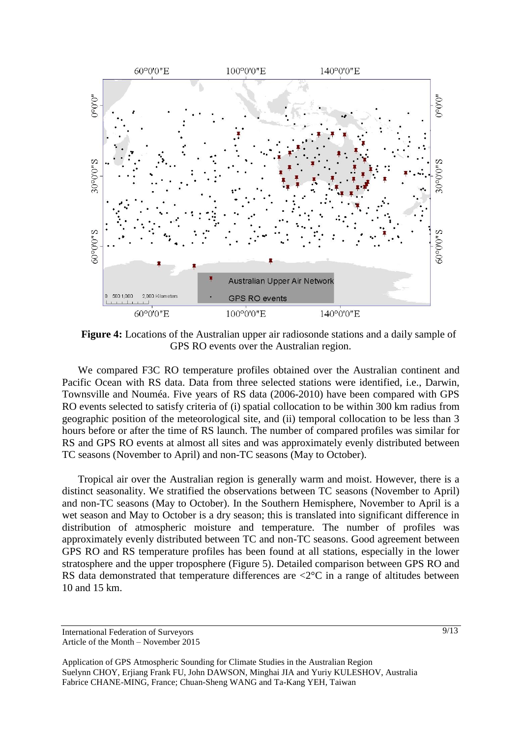

**Figure 4:** Locations of the Australian upper air radiosonde stations and a daily sample of GPS RO events over the Australian region.

We compared F3C RO temperature profiles obtained over the Australian continent and Pacific Ocean with RS data. Data from three selected stations were identified, i.e., Darwin, Townsville and Nouméa. Five years of RS data (2006-2010) have been compared with GPS RO events selected to satisfy criteria of (i) spatial collocation to be within 300 km radius from geographic position of the meteorological site, and (ii) temporal collocation to be less than 3 hours before or after the time of RS launch. The number of compared profiles was similar for RS and GPS RO events at almost all sites and was approximately evenly distributed between TC seasons (November to April) and non-TC seasons (May to October).

Tropical air over the Australian region is generally warm and moist. However, there is a distinct seasonality. We stratified the observations between TC seasons (November to April) and non-TC seasons (May to October). In the Southern Hemisphere, November to April is a wet season and May to October is a dry season; this is translated into significant difference in distribution of atmospheric moisture and temperature. The number of profiles was approximately evenly distributed between TC and non-TC seasons. Good agreement between GPS RO and RS temperature profiles has been found at all stations, especially in the lower stratosphere and the upper troposphere (Figure 5). Detailed comparison between GPS RO and RS data demonstrated that temperature differences are  $\langle 2^{\circ}$ C in a range of altitudes between 10 and 15 km.

International Federation of Surveyors Article of the Month – November 2015

Application of GPS Atmospheric Sounding for Climate Studies in the Australian Region Suelynn CHOY, Erjiang Frank FU, John DAWSON, Minghai JIA and Yuriy KULESHOV, Australia Fabrice CHANE-MING, France; Chuan-Sheng WANG and Ta-Kang YEH, Taiwan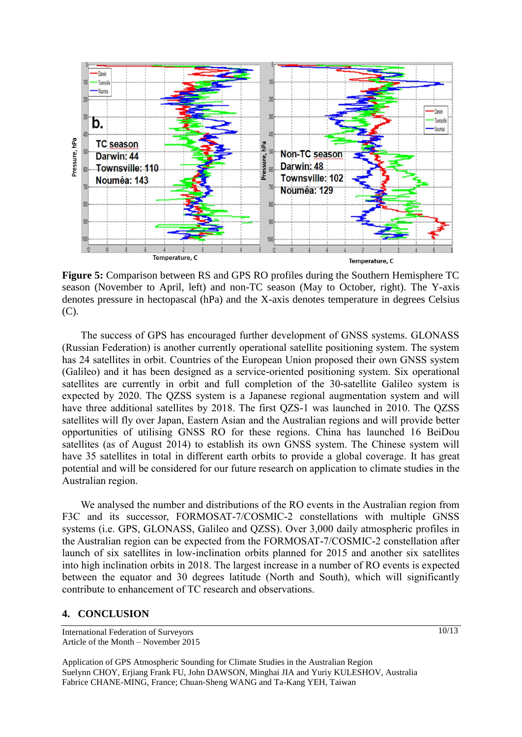

**Figure 5:** Comparison between RS and GPS RO profiles during the Southern Hemisphere TC season (November to April, left) and non-TC season (May to October, right). The Y-axis denotes pressure in hectopascal (hPa) and the X-axis denotes temperature in degrees Celsius (C).

The success of GPS has encouraged further development of GNSS systems. GLONASS (Russian Federation) is another currently operational satellite positioning system. The system has 24 satellites in orbit. Countries of the European Union proposed their own GNSS system (Galileo) and it has been designed as a service-oriented positioning system. Six operational satellites are currently in orbit and full completion of the 30-satellite Galileo system is expected by 2020. The QZSS system is a Japanese regional augmentation system and will have three additional satellites by 2018. The first QZS-1 was launched in 2010. The QZSS satellites will fly over Japan, Eastern Asian and the Australian regions and will provide better opportunities of utilising GNSS RO for these regions. China has launched 16 BeiDou satellites (as of August 2014) to establish its own GNSS system. The Chinese system will have 35 satellites in total in different earth orbits to provide a global coverage. It has great potential and will be considered for our future research on application to climate studies in the Australian region.

We analysed the number and distributions of the RO events in the Australian region from F3C and its successor, FORMOSAT-7/COSMIC-2 constellations with multiple GNSS systems (i.e. GPS, GLONASS, Galileo and QZSS). Over 3,000 daily atmospheric profiles in the Australian region can be expected from the FORMOSAT-7/COSMIC-2 constellation after launch of six satellites in low-inclination orbits planned for 2015 and another six satellites into high inclination orbits in 2018. The largest increase in a number of RO events is expected between the equator and 30 degrees latitude (North and South), which will significantly contribute to enhancement of TC research and observations.

#### **4. CONCLUSION**

Application of GPS Atmospheric Sounding for Climate Studies in the Australian Region Suelynn CHOY, Erjiang Frank FU, John DAWSON, Minghai JIA and Yuriy KULESHOV, Australia Fabrice CHANE-MING, France; Chuan-Sheng WANG and Ta-Kang YEH, Taiwan

International Federation of Surveyors Article of the Month – November 2015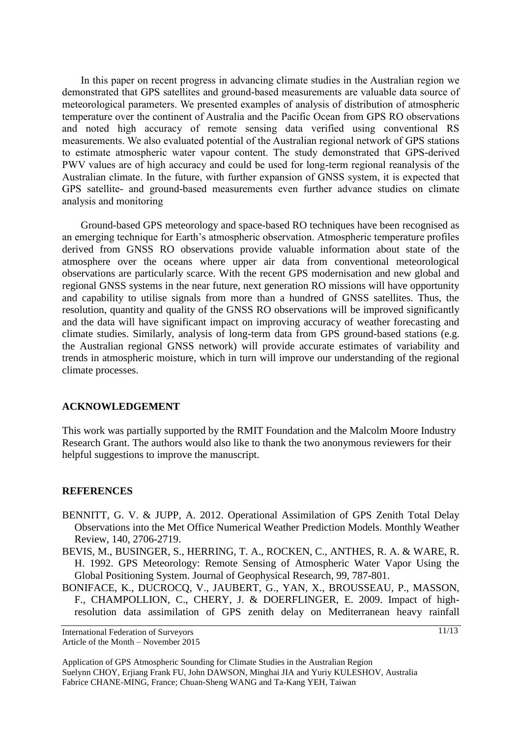In this paper on recent progress in advancing climate studies in the Australian region we demonstrated that GPS satellites and ground-based measurements are valuable data source of meteorological parameters. We presented examples of analysis of distribution of atmospheric temperature over the continent of Australia and the Pacific Ocean from GPS RO observations and noted high accuracy of remote sensing data verified using conventional RS measurements. We also evaluated potential of the Australian regional network of GPS stations to estimate atmospheric water vapour content. The study demonstrated that GPS-derived PWV values are of high accuracy and could be used for long-term regional reanalysis of the Australian climate. In the future, with further expansion of GNSS system, it is expected that GPS satellite- and ground-based measurements even further advance studies on climate analysis and monitoring

Ground-based GPS meteorology and space-based RO techniques have been recognised as an emerging technique for Earth's atmospheric observation. Atmospheric temperature profiles derived from GNSS RO observations provide valuable information about state of the atmosphere over the oceans where upper air data from conventional meteorological observations are particularly scarce. With the recent GPS modernisation and new global and regional GNSS systems in the near future, next generation RO missions will have opportunity and capability to utilise signals from more than a hundred of GNSS satellites. Thus, the resolution, quantity and quality of the GNSS RO observations will be improved significantly and the data will have significant impact on improving accuracy of weather forecasting and climate studies. Similarly, analysis of long-term data from GPS ground-based stations (e.g. the Australian regional GNSS network) will provide accurate estimates of variability and trends in atmospheric moisture, which in turn will improve our understanding of the regional climate processes.

#### **ACKNOWLEDGEMENT**

This work was partially supported by the RMIT Foundation and the Malcolm Moore Industry Research Grant. The authors would also like to thank the two anonymous reviewers for their helpful suggestions to improve the manuscript.

#### **REFERENCES**

- BENNITT, G. V. & JUPP, A. 2012. Operational Assimilation of GPS Zenith Total Delay Observations into the Met Office Numerical Weather Prediction Models. Monthly Weather Review, 140, 2706-2719.
- BEVIS, M., BUSINGER, S., HERRING, T. A., ROCKEN, C., ANTHES, R. A. & WARE, R. H. 1992. GPS Meteorology: Remote Sensing of Atmospheric Water Vapor Using the Global Positioning System. Journal of Geophysical Research, 99, 787-801.
- BONIFACE, K., DUCROCQ, V., JAUBERT, G., YAN, X., BROUSSEAU, P., MASSON, F., CHAMPOLLION, C., CHERY, J. & DOERFLINGER, E. 2009. Impact of highresolution data assimilation of GPS zenith delay on Mediterranean heavy rainfall

International Federation of Surveyors Article of the Month – November 2015

Application of GPS Atmospheric Sounding for Climate Studies in the Australian Region Suelynn CHOY, Erjiang Frank FU, John DAWSON, Minghai JIA and Yuriy KULESHOV, Australia Fabrice CHANE-MING, France; Chuan-Sheng WANG and Ta-Kang YEH, Taiwan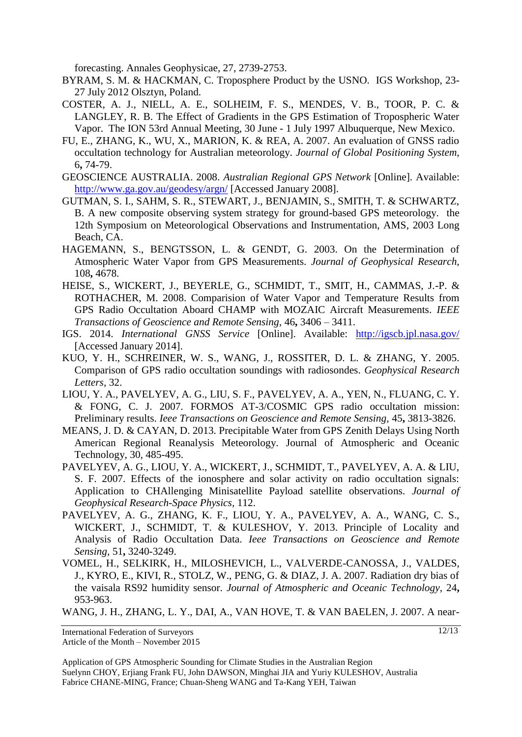forecasting. Annales Geophysicae, 27, 2739-2753.

- BYRAM, S. M. & HACKMAN, C. Troposphere Product by the USNO. IGS Workshop, 23- 27 July 2012 Olsztyn, Poland.
- COSTER, A. J., NIELL, A. E., SOLHEIM, F. S., MENDES, V. B., TOOR, P. C. & LANGLEY, R. B. The Effect of Gradients in the GPS Estimation of Tropospheric Water Vapor. The ION 53rd Annual Meeting, 30 June - 1 July 1997 Albuquerque, New Mexico.
- FU, E., ZHANG, K., WU, X., MARION, K. & REA, A. 2007. An evaluation of GNSS radio occultation technology for Australian meteorology. *Journal of Global Positioning System,* 6**,** 74-79.
- GEOSCIENCE AUSTRALIA. 2008. *Australian Regional GPS Network* [Online]. Available: <http://www.ga.gov.au/geodesy/argn/> [Accessed January 2008].
- GUTMAN, S. I., SAHM, S. R., STEWART, J., BENJAMIN, S., SMITH, T. & SCHWARTZ, B. A new composite observing system strategy for ground-based GPS meteorology. the 12th Symposium on Meteorological Observations and Instrumentation, AMS, 2003 Long Beach, CA.
- HAGEMANN, S., BENGTSSON, L. & GENDT, G. 2003. On the Determination of Atmospheric Water Vapor from GPS Measurements. *Journal of Geophysical Research,* 108**,** 4678.
- HEISE, S., WICKERT, J., BEYERLE, G., SCHMIDT, T., SMIT, H., CAMMAS, J.-P. & ROTHACHER, M. 2008. Comparision of Water Vapor and Temperature Results from GPS Radio Occultation Aboard CHAMP with MOZAIC Aircraft Measurements. *IEEE Transactions of Geoscience and Remote Sensing,* 46**,** 3406 – 3411.
- IGS. 2014. *International GNSS Service* [Online]. Available: <http://igscb.jpl.nasa.gov/> [Accessed January 2014].
- KUO, Y. H., SCHREINER, W. S., WANG, J., ROSSITER, D. L. & ZHANG, Y. 2005. Comparison of GPS radio occultation soundings with radiosondes. *Geophysical Research Letters,* 32.
- LIOU, Y. A., PAVELYEV, A. G., LIU, S. F., PAVELYEV, A. A., YEN, N., FLUANG, C. Y. & FONG, C. J. 2007. FORMOS AT-3/COSMIC GPS radio occultation mission: Preliminary results. *Ieee Transactions on Geoscience and Remote Sensing,* 45**,** 3813-3826.
- MEANS, J. D. & CAYAN, D. 2013. Precipitable Water from GPS Zenith Delays Using North American Regional Reanalysis Meteorology. Journal of Atmospheric and Oceanic Technology, 30, 485-495.
- PAVELYEV, A. G., LIOU, Y. A., WICKERT, J., SCHMIDT, T., PAVELYEV, A. A. & LIU, S. F. 2007. Effects of the ionosphere and solar activity on radio occultation signals: Application to CHAllenging Minisatellite Payload satellite observations. *Journal of Geophysical Research-Space Physics,* 112.
- PAVELYEV, A. G., ZHANG, K. F., LIOU, Y. A., PAVELYEV, A. A., WANG, C. S., WICKERT, J., SCHMIDT, T. & KULESHOV, Y. 2013. Principle of Locality and Analysis of Radio Occultation Data. *Ieee Transactions on Geoscience and Remote Sensing,* 51**,** 3240-3249.
- VOMEL, H., SELKIRK, H., MILOSHEVICH, L., VALVERDE-CANOSSA, J., VALDES, J., KYRO, E., KIVI, R., STOLZ, W., PENG, G. & DIAZ, J. A. 2007. Radiation dry bias of the vaisala RS92 humidity sensor. *Journal of Atmospheric and Oceanic Technology,* 24**,** 953-963.

WANG, J. H., ZHANG, L. Y., DAI, A., VAN HOVE, T. & VAN BAELEN, J. 2007. A near-

International Federation of Surveyors

Article of the Month – November 2015

Application of GPS Atmospheric Sounding for Climate Studies in the Australian Region Suelynn CHOY, Erjiang Frank FU, John DAWSON, Minghai JIA and Yuriy KULESHOV, Australia Fabrice CHANE-MING, France; Chuan-Sheng WANG and Ta-Kang YEH, Taiwan